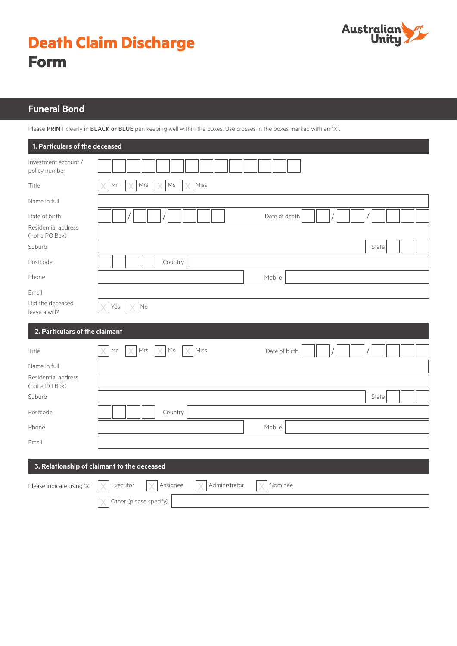



# **Funeral Bond**

Please PRINT clearly in BLACK or BLUE pen keeping well within the boxes. Use crosses in the boxes marked with an "X".

| 1. Particulars of the deceased        |                                                  |
|---------------------------------------|--------------------------------------------------|
| Investment account /<br>policy number |                                                  |
| Title                                 | Miss<br>Mr<br>Mrs<br>Ms                          |
| Name in full                          |                                                  |
| Date of birth                         | Date of death                                    |
| Residential address<br>(not a PO Box) |                                                  |
| Suburb                                | State                                            |
| Postcode                              | Country                                          |
| Phone                                 | Mobile                                           |
| Email                                 |                                                  |
| Did the deceased<br>leave a will?     | $\mathsf{No}$<br>Yes                             |
| 2. Particulars of the claimant        |                                                  |
| Title                                 | Mr<br>Mrs<br>Ms<br>Miss<br>Date of birth         |
| Name in full                          |                                                  |
| Residential address<br>(not a PO Box) |                                                  |
| Suburb                                | State                                            |
| Postcode                              | Country                                          |
| Phone                                 | Mobile                                           |
| Email                                 |                                                  |
|                                       | 3. Relationship of claimant to the deceased      |
| Please indicate using 'X'             | Executor<br>Assignee<br>Administrator<br>Nominee |
|                                       | Other (please specify)                           |